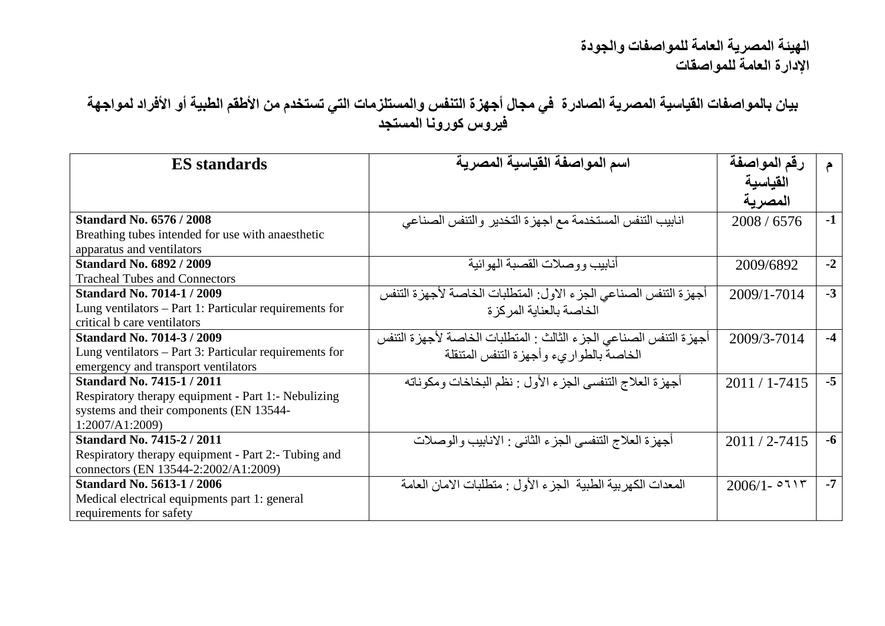**بیان بالمواصفات القیاسیة المصریة الصادرة في مجال أجھزة التنفس والمستلزمات التي تستخدم من الأطقم الطبیة أو الأفراد لمواجھة فیروس كورونا المستجد**

| <b>ES</b> standards                                    | اسم المواصفة القياسية المصرية                                         | رقم المواصفة      | $\epsilon$ |
|--------------------------------------------------------|-----------------------------------------------------------------------|-------------------|------------|
|                                                        |                                                                       | القياسية          |            |
|                                                        |                                                                       | المصرية           |            |
| <b>Standard No. 6576 / 2008</b>                        | انابيب التنفس المستخدمة مع اجهزة التخدير والتنفس الصناعي              | 2008 / 6576       | $-1$       |
| Breathing tubes intended for use with anaesthetic      |                                                                       |                   |            |
| apparatus and ventilators                              |                                                                       |                   |            |
| <b>Standard No. 6892 / 2009</b>                        | أنابيب ووصلات القصبة المهو ائبة                                       | 2009/6892         | $-2$       |
| <b>Tracheal Tubes and Connectors</b>                   |                                                                       |                   |            |
| <b>Standard No. 7014-1 / 2009</b>                      | أجهزة التنفس الصناعي الجزء الاول: المنطلبات الخاصة لأجهزة التنفس      | 2009/1-7014       | $-3$       |
| Lung ventilators – Part 1: Particular requirements for | الخاصة بالعنابة المركز ة                                              |                   |            |
| critical b care ventilators                            |                                                                       |                   |            |
| <b>Standard No. 7014-3 / 2009</b>                      | أجهز ة التنفس الصناعي الجز ء الثالث : المنطلبات الخاصة لأجهز ة التنفس | 2009/3-7014       | $-4$       |
| Lung ventilators – Part 3: Particular requirements for | الخاصة بالطوارىء وأجهزة الننفس المننقلة                               |                   |            |
| emergency and transport ventilators                    |                                                                       |                   |            |
| <b>Standard No. 7415-1 / 2011</b>                      | أجهزة العلاج التنفسي الجزء الأول : نظم البخاخات ومكوناته              | $2011/1 - 7415$   | $-5$       |
| Respiratory therapy equipment - Part 1:- Nebulizing    |                                                                       |                   |            |
| systems and their components (EN 13544-                |                                                                       |                   |            |
| 1:2007/A1:2009)                                        |                                                                       |                   |            |
| <b>Standard No. 7415-2 / 2011</b>                      | أجهزة العلاج التنفسي الجزء الثاني : الانابيب والوصلات                 | $2011 / 2 - 7415$ | $-6$       |
| Respiratory therapy equipment - Part 2:- Tubing and    |                                                                       |                   |            |
| connectors (EN 13544-2:2002/A1:2009)                   |                                                                       |                   |            |
| <b>Standard No. 5613-1 / 2006</b>                      | المعدات الكهربية الطبية الجزء الأول : منطلبات الامان العامة           | $2006/1 - 0715$   | $-7$       |
| Medical electrical equipments part 1: general          |                                                                       |                   |            |
| requirements for safety                                |                                                                       |                   |            |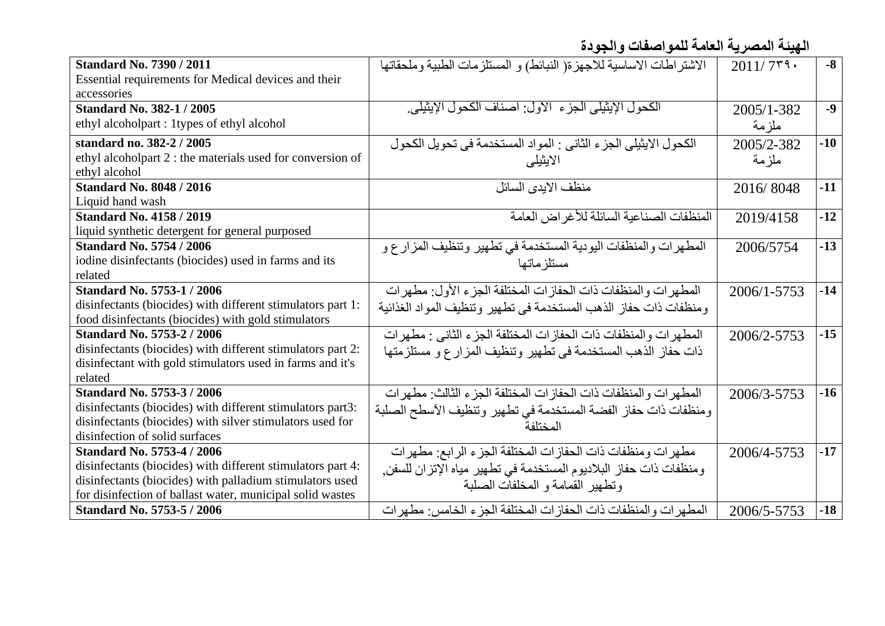**الھیئة المصریة العامة للمواصفات والجودة**

| <b>Standard No. 7390 / 2011</b>                             | الاشتراطات الاساسية للاجهزة( النبائط) و المستلزمات الطبية وملحقاتها | $2011/7$ ۳۹۰ | $-8$  |
|-------------------------------------------------------------|---------------------------------------------------------------------|--------------|-------|
| Essential requirements for Medical devices and their        |                                                                     |              |       |
| accessories                                                 |                                                                     |              |       |
| <b>Standard No. 382-1 / 2005</b>                            | الكحول الإيثيلي الجز ء الأول: أصناف الكحول الإيثيلي.                | 2005/1-382   | $-9$  |
| ethyl alcoholpart : 1 types of ethyl alcohol                |                                                                     | ملز مة       |       |
| standard no. 382-2 / 2005                                   | الكحول الإيثيلي الجزء الثاني : المواد المستخدمة في تحويل الكحول     | 2005/2-382   | $-10$ |
| ethyl alcoholpart 2 : the materials used for conversion of  | الايثيلي                                                            | ملزمة        |       |
| ethyl alcohol                                               |                                                                     |              |       |
| <b>Standard No. 8048 / 2016</b>                             | منظف الابدى السائل                                                  | 2016/8048    | $-11$ |
| Liquid hand wash                                            |                                                                     |              |       |
| <b>Standard No. 4158 / 2019</b>                             | المنظفات الصناعبة السائلة للأغر اض العامة                           | 2019/4158    | $-12$ |
| liquid synthetic detergent for general purposed             |                                                                     |              |       |
| <b>Standard No. 5754 / 2006</b>                             | المطهرات والمنظفات اليودية المستخدمة في تطهير وتنظيف المزارع و      | 2006/5754    | $-13$ |
| iodine disinfectants (biocides) used in farms and its       | مستلز ماتها                                                         |              |       |
| related                                                     |                                                                     |              |       |
| <b>Standard No. 5753-1 / 2006</b>                           | المطهر ات و المنظفات ذات الحفاز ات المختلفة الجزء الأول: مطهر ات    | 2006/1-5753  | $-14$ |
| disinfectants (biocides) with different stimulators part 1: | ومنظفات ذات حفاز الذهب المستخدمة في تطهير وتنظيف المواد الغذائية    |              |       |
| food disinfectants (biocides) with gold stimulators         |                                                                     |              |       |
| <b>Standard No. 5753-2 / 2006</b>                           | المطهر الت والمنظفات ذات الحفازات المختلفة الجزء الثاني : مطهرات    | 2006/2-5753  | $-15$ |
| disinfectants (biocides) with different stimulators part 2: | ذات حفاز الذهب المستخدمة في تطهير وتنظيف المزارع و مستلزمتها        |              |       |
| disinfectant with gold stimulators used in farms and it's   |                                                                     |              |       |
| related                                                     |                                                                     |              |       |
| <b>Standard No. 5753-3 / 2006</b>                           | المطهر ات و المنظفات ذات الحفاز ات المختلفة الجز ء الثالث: مطهر ات  | 2006/3-5753  | $-16$ |
| disinfectants (biocides) with different stimulators part3:  | ومنظفات ذات حفاز الفضنة المستخدمة في تطهير وتنظيف الأسطح الصلبة     |              |       |
| disinfectants (biocides) with silver stimulators used for   | المختلفة                                                            |              |       |
| disinfection of solid surfaces                              |                                                                     |              |       |
| <b>Standard No. 5753-4 / 2006</b>                           | مطهرات ومنظفات ذات الحفازات المختلفة الجزء الرابع: مطهرات           | 2006/4-5753  | $-17$ |
| disinfectants (biocides) with different stimulators part 4: | ومنظفات ذات حفاز البلاديوم المستخدمة في تطهير مياه الإتزان للسفن,   |              |       |
| disinfectants (biocides) with palladium stimulators used    | ونطهير القمامة و المخلفات الصلبة                                    |              |       |
| for disinfection of ballast water, municipal solid wastes   |                                                                     |              |       |
| <b>Standard No. 5753-5 / 2006</b>                           | المطهر ات والمنظفات ذات الحفاز ات المختلفة الجزء الخامس: مطهر ات    | 2006/5-5753  | $-18$ |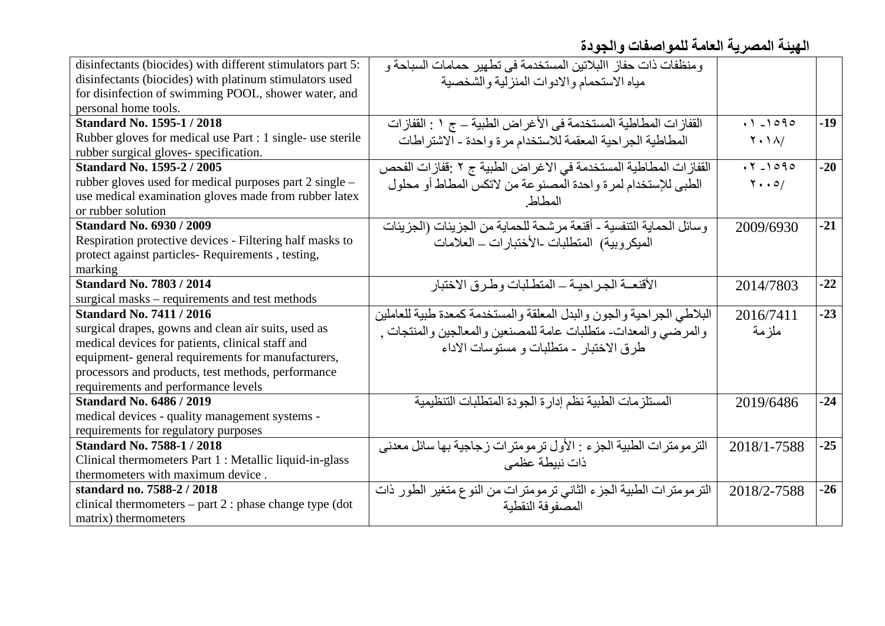**الھیئة المصریة العامة للمواصفات والجودة**

| disinfectants (biocides) with different stimulators part 5: | ومنظفات ذات حفاز االبلاتين المستخدمة في تطهير حمامات السباحة و        |                                     |       |
|-------------------------------------------------------------|-----------------------------------------------------------------------|-------------------------------------|-------|
| disinfectants (biocides) with platinum stimulators used     | مياه الاستحمام والادوات المنزلية والشخصية                             |                                     |       |
| for disinfection of swimming POOL, shower water, and        |                                                                       |                                     |       |
| personal home tools.                                        |                                                                       |                                     |       |
| <b>Standard No. 1595-1 / 2018</b>                           | القفازات المطاطية المستخدمة في الأغراض الطبية _ ج ١ : القفازات        | $.1 - 1090$                         | $-19$ |
| Rubber gloves for medical use Part : 1 single- use sterile  | المطاطية الجراحية المعقمة للاستخدام مرة واحدة - الاشتراطات            | $Y \cdot \Delta$                    |       |
| rubber surgical gloves-specification.                       |                                                                       |                                     |       |
| <b>Standard No. 1595-2 / 2005</b>                           | القفازات المطاطية المستخدمة في الاغراض الطبية ج ٢ :قفازات الفحص       | $.7 - 1090$                         | $-20$ |
| rubber gloves used for medical purposes part 2 single –     | الطبي للإستخدام لمرة واحدة المصنوعة من لاتكس المطاط أو محلول          | $\mathbf{Y} \cdot \cdot \mathbf{O}$ |       |
| use medical examination gloves made from rubber latex       | المطاط                                                                |                                     |       |
| or rubber solution                                          |                                                                       |                                     |       |
| <b>Standard No. 6930 / 2009</b>                             | وسائل الحماية التنفسية - أقنعة مرشحة للحماية من الجزيئات (الجزيئات    | 2009/6930                           | $-21$ |
| Respiration protective devices - Filtering half masks to    | المبكروبية) المنطلبات الأختبارات ـ العلامات                           |                                     |       |
| protect against particles-Requirements, testing,            |                                                                       |                                     |       |
| marking                                                     |                                                                       |                                     |       |
| <b>Standard No. 7803 / 2014</b>                             | الأقنعــة الجـر احيــة ــ المنطـلبات و طـر ق الاختبار                 | 2014/7803                           | $-22$ |
| surgical masks – requirements and test methods              |                                                                       |                                     |       |
| <b>Standard No. 7411 / 2016</b>                             | البلاطي الجراحية والجون والبدل المعلقة والمستخدمة كمعدة طبية للعاملين | 2016/7411                           | $-23$ |
| surgical drapes, gowns and clean air suits, used as         | والمرضي والمعدات متطلبات عامة للمصنعين والمعالجين والمنتجات ,         | ملز مة                              |       |
| medical devices for patients, clinical staff and            | طرق الاختبار - متطلبات و مستوسات الاداء                               |                                     |       |
| equipment- general requirements for manufacturers,          |                                                                       |                                     |       |
| processors and products, test methods, performance          |                                                                       |                                     |       |
| requirements and performance levels                         |                                                                       |                                     |       |
| <b>Standard No. 6486 / 2019</b>                             | المستلزمات الطبية نظم إدارة الجودة المتطلبات التنظيمية                | 2019/6486                           | $-24$ |
| medical devices - quality management systems -              |                                                                       |                                     |       |
| requirements for regulatory purposes                        |                                                                       |                                     |       |
| <b>Standard No. 7588-1 / 2018</b>                           | الترمومترات الطبية الجزء : الأول ترمومترات زجاجية بها سائل معدنى      | 2018/1-7588                         | $-25$ |
| Clinical thermometers Part 1 : Metallic liquid-in-glass     | ذات نبيطة عظمى                                                        |                                     |       |
| thermometers with maximum device.                           |                                                                       |                                     |       |
| standard no. 7588-2 / 2018                                  | الترمومترات الطبية الجزء الثاني ترمومترات من النوع متغير الطور ذات    | 2018/2-7588                         | $-26$ |
| clinical thermometers $-$ part 2 : phase change type (dot   | المصنو فة النقطبة                                                     |                                     |       |
| matrix) thermometers                                        |                                                                       |                                     |       |